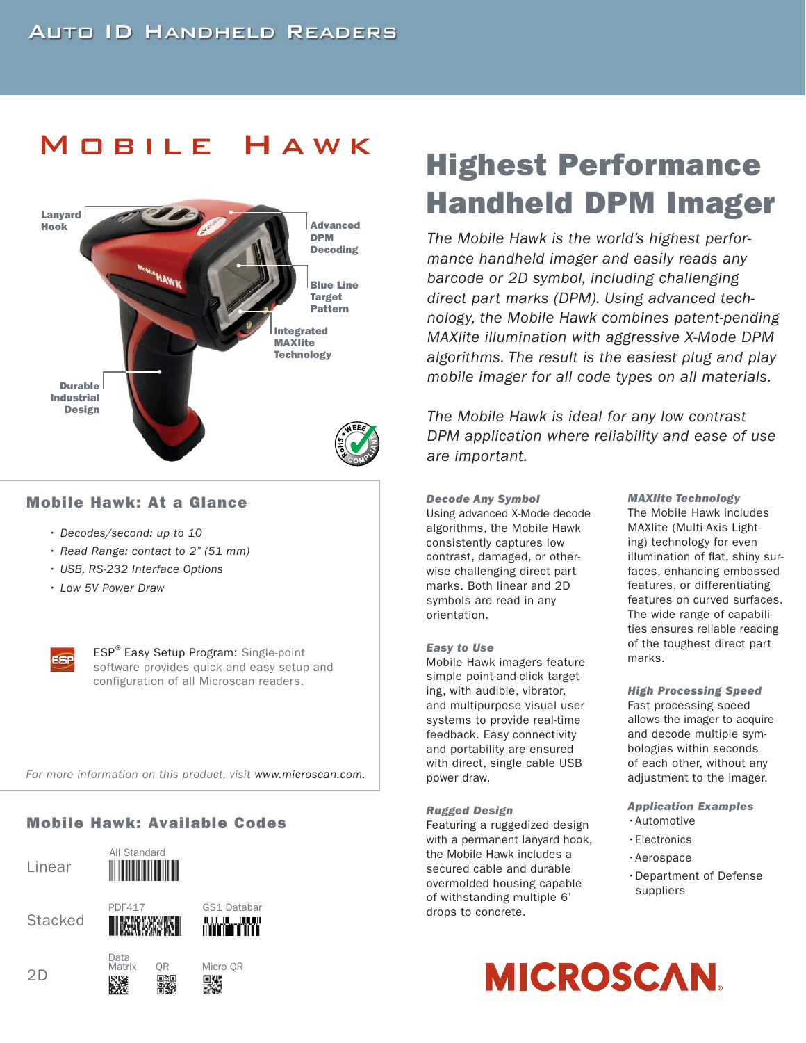

### **Mobile Hawk: At a Glance**

- Decodes/second: up to 10
- Read Range: contact to 2" (51 mm)
- USB, RS-232 Interface Options
- Low 5V Power Draw



ESP<sup>®</sup> Easy Setup Program: Single-point software provides quick and easy setup and configuration of all Microscan readers.

For more information on this product, visit www.microscan.com.

## **Mobile Hawk: Available Codes**

Linear

All Standard 

Data Matrix









# n Matrix QR Micro. QR<br>2D - 1932 민정민 미래

# Mobile Hawk **Highest Performance Handheld DPM Imager**

The Mobile Hawk is the world's highest performance handheld imager and easily reads any barcode or 2D symbol, including challenging direct part marks (DPM). Using advanced technology, the Mobile Hawk combines patent-pending MAXlite illumination with aggressive X-Mode DPM algorithms. The result is the easiest plug and play mobile imager for all code types on all materials.

The Mobile Hawk is ideal for any low contrast DPM application where reliability and ease of use are important.

#### *Decode Any Symbol*  Using advanced X-Mode decode algorithms, the Mobile Hawk consistently captures low contrast, damaged, or otherwise challenging direct part marks. Both linear and 2D symbols are read in any orientation.

#### *Easy to Use*

Mobile Hawk imagers feature simple point-and-click targeting, with audible, vibrator, and multipurpose visual user systems to provide real-time feedback. Easy connectivity and portability are ensured with direct, single cable USB power draw.

#### *Rugged Design*

Featuring a ruggedized design with a permanent lanyard hook, the Mobile Hawk includes a secured cable and durable overmolded housing capable of withstanding multiple 6' drops to concrete.

#### *MAXlite Technology*

The Mobile Hawk includes MAXlite (Multi-Axis Lighting) technology for even illumination of flat, shiny surfaces, enhancing embossed features, or differentiating features on curved surfaces. The wide range of capabilities ensures reliable reading of the toughest direct part marks.

#### *High Processing Speed*

Fast processing speed allows the imager to acquire and decode multiple symbologies within seconds of each other, without any adjustment to the imager.

## *Application Examples*

- •Automotive
- •Electronics
- •Aerospace
- •Department of Defense suppliers